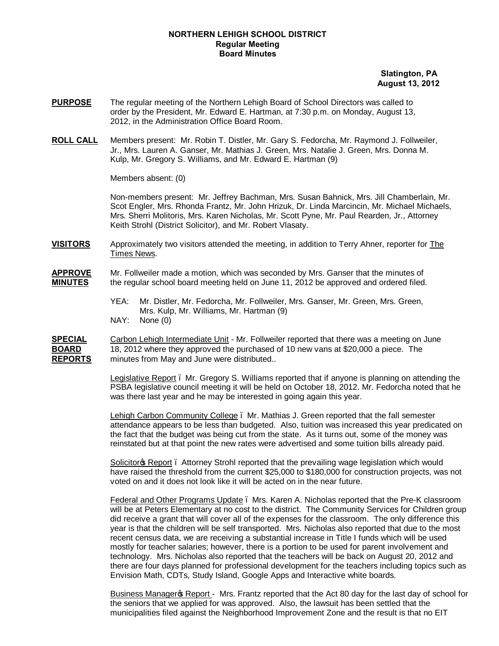### **NORTHERN LEHIGH SCHOOL DISTRICT Regular Meeting Board Minutes**

 **Slatington, PA August 13, 2012**

- **PURPOSE** The regular meeting of the Northern Lehigh Board of School Directors was called to order by the President, Mr. Edward E. Hartman, at 7:30 p.m. on Monday, August 13, 2012, in the Administration Office Board Room.
- **ROLL CALL** Members present: Mr. Robin T. Distler, Mr. Gary S. Fedorcha, Mr. Raymond J. Follweiler, Jr., Mrs. Lauren A. Ganser, Mr. Mathias J. Green, Mrs. Natalie J. Green, Mrs. Donna M. Kulp, Mr. Gregory S. Williams, and Mr. Edward E. Hartman (9)

Members absent: (0)

Non-members present: Mr. Jeffrey Bachman, Mrs. Susan Bahnick, Mrs. Jill Chamberlain, Mr. Scot Engler, Mrs. Rhonda Frantz, Mr. John Hrizuk, Dr. Linda Marcincin, Mr. Michael Michaels, Mrs. Sherri Molitoris, Mrs. Karen Nicholas, Mr. Scott Pyne, Mr. Paul Rearden, Jr., Attorney Keith Strohl (District Solicitor), and Mr. Robert Vlasaty.

**VISITORS** Approximately two visitors attended the meeting, in addition to Terry Ahner, reporter for The Times News.

## **APPROVE** Mr. Follweiler made a motion, which was seconded by Mrs. Ganser that the minutes of **MINUTES** the regular school board meeting held on June 11, 2012 be approved and ordered filed.

YEA: Mr. Distler, Mr. Fedorcha, Mr. Follweiler, Mrs. Ganser, Mr. Green, Mrs. Green, Mrs. Kulp, Mr. Williams, Mr. Hartman (9) NAY: None (0)

**SPECIAL** Carbon Lehigh Intermediate Unit - Mr. Follweiler reported that there was a meeting on June **BOARD** 18, 2012 where they approved the purchased of 10 new vans at \$20,000 a piece. The **REPORTS** minutes from May and June were distributed..

> Legislative Report – Mr. Gregory S. Williams reported that if anyone is planning on attending the PSBA legislative council meeting it will be held on October 18, 2012. Mr. Fedorcha noted that he was there last year and he may be interested in going again this year.

> Lehigh Carbon Community College – Mr. Mathias J. Green reported that the fall semester attendance appears to be less than budgeted. Also, tuition was increased this year predicated on the fact that the budget was being cut from the state. As it turns out, some of the money was reinstated but at that point the new rates were advertised and some tuition bills already paid.

> Solicitor & Report . Attorney Strohl reported that the prevailing wage legislation which would have raised the threshold from the current \$25,000 to \$180,000 for construction projects, was not voted on and it does not look like it will be acted on in the near future.

Federal and Other Programs Update – Mrs. Karen A. Nicholas reported that the Pre-K classroom will be at Peters Elementary at no cost to the district. The Community Services for Children group did receive a grant that will cover all of the expenses for the classroom. The only difference this year is that the children will be self transported. Mrs. Nicholas also reported that due to the most recent census data, we are receiving a substantial increase in Title I funds which will be used mostly for teacher salaries; however, there is a portion to be used for parent involvement and technology. Mrs. Nicholas also reported that the teachers will be back on August 20, 2012 and there are four days planned for professional development for the teachers including topics such as Envision Math, CDTs, Study Island, Google Apps and Interactive white boards.

Business Manager & Report - Mrs. Frantz reported that the Act 80 day for the last day of school for the seniors that we applied for was approved. Also, the lawsuit has been settled that the municipalities filed against the Neighborhood Improvement Zone and the result is that no EIT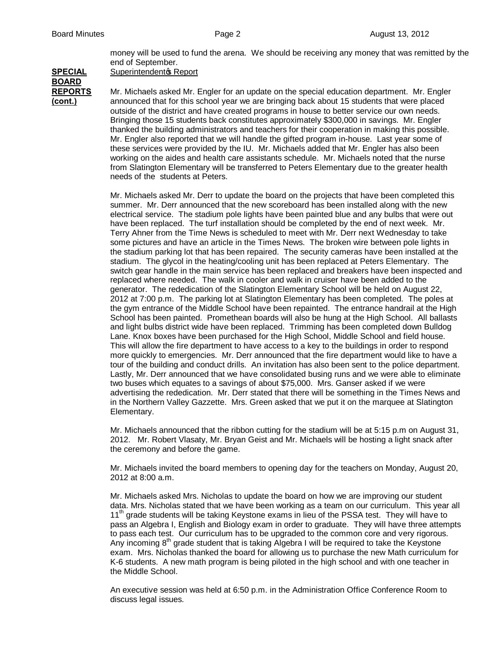money will be used to fund the arena. We should be receiving any money that was remitted by the end of September.

**SPECIAL** Superintendentos Report

**BOARD**

**REPORTS** Mr. Michaels asked Mr. Engler for an update on the special education department. Mr. Engler **(cont.)** announced that for this school year we are bringing back about 15 students that were placed outside of the district and have created programs in house to better service our own needs. Bringing those 15 students back constitutes approximately \$300,000 in savings. Mr. Engler thanked the building administrators and teachers for their cooperation in making this possible. Mr. Engler also reported that we will handle the gifted program in-house. Last year some of these services were provided by the IU. Mr. Michaels added that Mr. Engler has also been working on the aides and health care assistants schedule. Mr. Michaels noted that the nurse from Slatington Elementary will be transferred to Peters Elementary due to the greater health needs of the students at Peters.

> Mr. Michaels asked Mr. Derr to update the board on the projects that have been completed this summer. Mr. Derr announced that the new scoreboard has been installed along with the new electrical service. The stadium pole lights have been painted blue and any bulbs that were out have been replaced. The turf installation should be completed by the end of next week. Mr. Terry Ahner from the Time News is scheduled to meet with Mr. Derr next Wednesday to take some pictures and have an article in the Times News. The broken wire between pole lights in the stadium parking lot that has been repaired. The security cameras have been installed at the stadium. The glycol in the heating/cooling unit has been replaced at Peters Elementary. The switch gear handle in the main service has been replaced and breakers have been inspected and replaced where needed. The walk in cooler and walk in cruiser have been added to the generator. The rededication of the Slatington Elementary School will be held on August 22, 2012 at 7:00 p.m. The parking lot at Slatington Elementary has been completed. The poles at the gym entrance of the Middle School have been repainted. The entrance handrail at the High School has been painted. Promethean boards will also be hung at the High School. All ballasts and light bulbs district wide have been replaced. Trimming has been completed down Bulldog Lane. Knox boxes have been purchased for the High School, Middle School and field house. This will allow the fire department to have access to a key to the buildings in order to respond more quickly to emergencies. Mr. Derr announced that the fire department would like to have a tour of the building and conduct drills. An invitation has also been sent to the police department. Lastly, Mr. Derr announced that we have consolidated busing runs and we were able to eliminate two buses which equates to a savings of about \$75,000. Mrs. Ganser asked if we were advertising the rededication. Mr. Derr stated that there will be something in the Times News and in the Northern Valley Gazzette. Mrs. Green asked that we put it on the marquee at Slatington Elementary.

Mr. Michaels announced that the ribbon cutting for the stadium will be at 5:15 p.m on August 31, 2012. Mr. Robert Vlasaty, Mr. Bryan Geist and Mr. Michaels will be hosting a light snack after the ceremony and before the game.

Mr. Michaels invited the board members to opening day for the teachers on Monday, August 20, 2012 at 8:00 a.m.

Mr. Michaels asked Mrs. Nicholas to update the board on how we are improving our student data. Mrs. Nicholas stated that we have been working as a team on our curriculum. This year all  $11<sup>th</sup>$  grade students will be taking Keystone exams in lieu of the PSSA test. They will have to pass an Algebra I, English and Biology exam in order to graduate. They will have three attempts to pass each test. Our curriculum has to be upgraded to the common core and very rigorous. Any incoming  $8<sup>th</sup>$  grade student that is taking Algebra I will be required to take the Keystone exam. Mrs. Nicholas thanked the board for allowing us to purchase the new Math curriculum for K-6 students. A new math program is being piloted in the high school and with one teacher in the Middle School.

An executive session was held at 6:50 p.m. in the Administration Office Conference Room to discuss legal issues.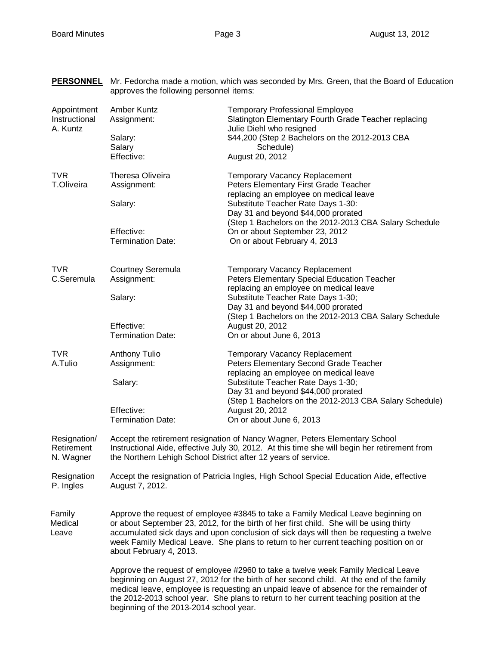| <b>PERSONNEL</b>                         | Mr. Fedorcha made a motion, which was seconded by Mrs. Green, that the Board of Education<br>approves the following personnel items:                                                                                                                                                                                                                                                                       |                                                                                                                                                                               |  |
|------------------------------------------|------------------------------------------------------------------------------------------------------------------------------------------------------------------------------------------------------------------------------------------------------------------------------------------------------------------------------------------------------------------------------------------------------------|-------------------------------------------------------------------------------------------------------------------------------------------------------------------------------|--|
| Appointment<br>Instructional<br>A. Kuntz | Amber Kuntz<br>Assignment:<br>Salary:                                                                                                                                                                                                                                                                                                                                                                      | <b>Temporary Professional Employee</b><br>Slatington Elementary Fourth Grade Teacher replacing<br>Julie Diehl who resigned<br>\$44,200 (Step 2 Bachelors on the 2012-2013 CBA |  |
|                                          | Salary<br>Effective:                                                                                                                                                                                                                                                                                                                                                                                       | Schedule)<br>August 20, 2012                                                                                                                                                  |  |
| <b>TVR</b><br><b>T.Oliveira</b>          | Theresa Oliveira<br>Assignment:                                                                                                                                                                                                                                                                                                                                                                            | <b>Temporary Vacancy Replacement</b><br>Peters Elementary First Grade Teacher<br>replacing an employee on medical leave                                                       |  |
|                                          | Salary:                                                                                                                                                                                                                                                                                                                                                                                                    | Substitute Teacher Rate Days 1-30:<br>Day 31 and beyond \$44,000 prorated<br>(Step 1 Bachelors on the 2012-2013 CBA Salary Schedule                                           |  |
|                                          | Effective:<br><b>Termination Date:</b>                                                                                                                                                                                                                                                                                                                                                                     | On or about September 23, 2012<br>On or about February 4, 2013                                                                                                                |  |
| <b>TVR</b><br>C.Seremula                 | <b>Courtney Seremula</b><br>Assignment:                                                                                                                                                                                                                                                                                                                                                                    | <b>Temporary Vacancy Replacement</b><br>Peters Elementary Special Education Teacher<br>replacing an employee on medical leave                                                 |  |
|                                          | Salary:                                                                                                                                                                                                                                                                                                                                                                                                    | Substitute Teacher Rate Days 1-30;<br>Day 31 and beyond \$44,000 prorated<br>(Step 1 Bachelors on the 2012-2013 CBA Salary Schedule                                           |  |
|                                          | Effective:<br><b>Termination Date:</b>                                                                                                                                                                                                                                                                                                                                                                     | August 20, 2012<br>On or about June 6, 2013                                                                                                                                   |  |
| <b>TVR</b><br>A.Tulio                    | <b>Anthony Tulio</b><br>Assignment:                                                                                                                                                                                                                                                                                                                                                                        | <b>Temporary Vacancy Replacement</b><br>Peters Elementary Second Grade Teacher<br>replacing an employee on medical leave                                                      |  |
|                                          | Salary:                                                                                                                                                                                                                                                                                                                                                                                                    | Substitute Teacher Rate Days 1-30;<br>Day 31 and beyond \$44,000 prorated<br>(Step 1 Bachelors on the 2012-2013 CBA Salary Schedule)                                          |  |
|                                          | Effective:<br><b>Termination Date:</b>                                                                                                                                                                                                                                                                                                                                                                     | August 20, 2012<br>On or about June 6, 2013                                                                                                                                   |  |
| Resignation/<br>Retirement<br>N. Wagner  | Accept the retirement resignation of Nancy Wagner, Peters Elementary School<br>Instructional Aide, effective July 30, 2012. At this time she will begin her retirement from<br>the Northern Lehigh School District after 12 years of service.                                                                                                                                                              |                                                                                                                                                                               |  |
| Resignation<br>P. Ingles                 | Accept the resignation of Patricia Ingles, High School Special Education Aide, effective<br>August 7, 2012.                                                                                                                                                                                                                                                                                                |                                                                                                                                                                               |  |
| Family<br>Medical<br>Leave               | Approve the request of employee #3845 to take a Family Medical Leave beginning on<br>or about September 23, 2012, for the birth of her first child. She will be using thirty<br>accumulated sick days and upon conclusion of sick days will then be requesting a twelve<br>week Family Medical Leave. She plans to return to her current teaching position on or<br>about February 4, 2013.                |                                                                                                                                                                               |  |
|                                          | Approve the request of employee #2960 to take a twelve week Family Medical Leave<br>beginning on August 27, 2012 for the birth of her second child. At the end of the family<br>medical leave, employee is requesting an unpaid leave of absence for the remainder of<br>the 2012-2013 school year. She plans to return to her current teaching position at the<br>beginning of the 2013-2014 school year. |                                                                                                                                                                               |  |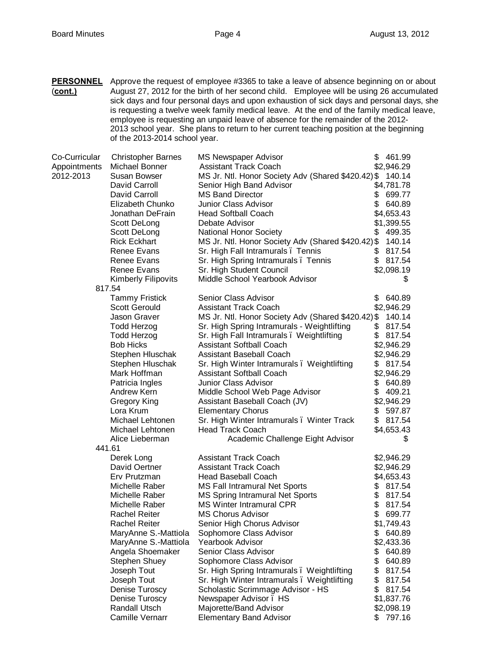**PERSONNEL** Approve the request of employee #3365 to take a leave of absence beginning on or about (**cont.)** August 27, 2012 for the birth of her second child. Employee will be using 26 accumulated sick days and four personal days and upon exhaustion of sick days and personal days, she is requesting a twelve week family medical leave. At the end of the family medical leave, employee is requesting an unpaid leave of absence for the remainder of the 2012- 2013 school year. She plans to return to her current teaching position at the beginning of the 2013-2014 school year.

| Co-Curricular | <b>Christopher Barnes</b>  | <b>MS Newspaper Advisor</b>                        | \$<br>461.99 |
|---------------|----------------------------|----------------------------------------------------|--------------|
| Appointments  | Michael Bonner             | <b>Assistant Track Coach</b>                       | \$2,946.29   |
| 2012-2013     | Susan Bowser               | MS Jr. Ntl. Honor Society Adv (Shared \$420.42) \$ | 140.14       |
|               | David Carroll              | Senior High Band Advisor                           | \$4,781.78   |
|               | David Carroll              | <b>MS Band Director</b>                            | 699.77<br>\$ |
|               | Elizabeth Chunko           | Junior Class Advisor                               | \$<br>640.89 |
|               | Jonathan DeFrain           | <b>Head Softball Coach</b>                         | \$4,653.43   |
|               | Scott DeLong               | Debate Advisor                                     | \$1,399.55   |
|               | Scott DeLong               | <b>National Honor Society</b>                      | \$<br>499.35 |
|               | <b>Rick Eckhart</b>        | MS Jr. Ntl. Honor Society Adv (Shared \$420.42) \$ | 140.14       |
|               | Renee Evans                | Sr. High Fall Intramurals. Tennis                  | 817.54<br>\$ |
|               | Renee Evans                | Sr. High Spring Intramurals. Tennis                | \$817.54     |
|               | Renee Evans                | Sr. High Student Council                           | \$2,098.19   |
|               | <b>Kimberly Filipovits</b> | Middle School Yearbook Advisor                     | S.           |
|               | 817.54                     |                                                    |              |
|               | <b>Tammy Fristick</b>      | Senior Class Advisor                               | \$ 640.89    |
|               | <b>Scott Gerould</b>       | <b>Assistant Track Coach</b>                       | \$2,946.29   |
|               | Jason Graver               | MS Jr. Ntl. Honor Society Adv (Shared \$420.42) \$ | 140.14       |
|               | <b>Todd Herzog</b>         | Sr. High Spring Intramurals - Weightlifting        | \$<br>817.54 |
|               | <b>Todd Herzog</b>         | Sr. High Fall Intramurals. Weightlifting           | \$<br>817.54 |
|               | <b>Bob Hicks</b>           | <b>Assistant Softball Coach</b>                    | \$2,946.29   |
|               | Stephen Hluschak           | <b>Assistant Baseball Coach</b>                    | \$2,946.29   |
|               | Stephen Hluschak           | Sr. High Winter Intramurals. Weightlifting         | \$817.54     |
|               | Mark Hoffman               | <b>Assistant Softball Coach</b>                    | \$2,946.29   |
|               | Patricia Ingles            | Junior Class Advisor                               | \$ 640.89    |
|               | Andrew Kern                | Middle School Web Page Advisor                     | \$<br>409.21 |
|               | Gregory King               | Assistant Baseball Coach (JV)                      | \$2,946.29   |
|               | Lora Krum                  | <b>Elementary Chorus</b>                           | \$<br>597.87 |
|               | Michael Lehtonen           | Sr. High Winter Intramurals. Winter Track          | \$817.54     |
|               | Michael Lehtonen           | <b>Head Track Coach</b>                            | \$4,653.43   |
|               | Alice Lieberman            | Academic Challenge Eight Advisor                   | \$           |
|               | 441.61                     |                                                    |              |
|               | Derek Long                 | <b>Assistant Track Coach</b>                       | \$2,946.29   |
|               | David Oertner              | <b>Assistant Track Coach</b>                       | \$2,946.29   |
|               | Erv Prutzman               | <b>Head Baseball Coach</b>                         | \$4,653.43   |
|               | Michelle Raber             | MS Fall Intramural Net Sports                      | \$817.54     |
|               | Michelle Raber             | <b>MS Spring Intramural Net Sports</b>             | \$817.54     |
|               | Michelle Raber             | <b>MS Winter Intramural CPR</b>                    | \$<br>817.54 |
|               | <b>Rachel Reiter</b>       | <b>MS Chorus Advisor</b>                           | \$<br>699.77 |
|               | <b>Rachel Reiter</b>       | Senior High Chorus Advisor                         | \$1,749.43   |
|               | MaryAnne S.-Mattiola       | Sophomore Class Advisor                            | \$<br>640.89 |
|               | MaryAnne S.-Mattiola       | <b>Yearbook Advisor</b>                            | \$2,433.36   |
|               | Angela Shoemaker           | Senior Class Advisor                               | 640.89<br>\$ |
|               | <b>Stephen Shuey</b>       | Sophomore Class Advisor                            | \$<br>640.89 |
|               | Joseph Tout                | Sr. High Spring Intramurals. Weightlifting         | \$<br>817.54 |
|               | Joseph Tout                | Sr. High Winter Intramurals . Weightlifting        | \$<br>817.54 |
|               | Denise Turoscy             | Scholastic Scrimmage Advisor - HS                  | \$<br>817.54 |
|               | Denise Turoscy             | Newspaper Advisor . HS                             | \$1,837.76   |
|               | Randall Utsch              | Majorette/Band Advisor                             | \$2,098.19   |
|               | <b>Camille Vernarr</b>     | <b>Elementary Band Advisor</b>                     | 797.16<br>\$ |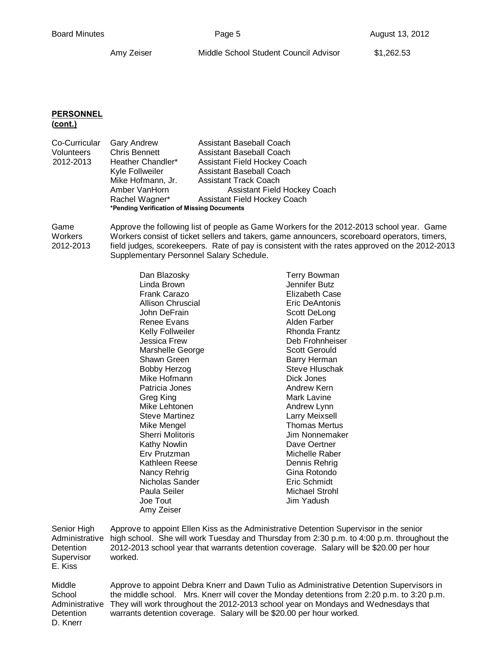# **PERSONNEL**

**(cont.)**

| Co-Curricular | <b>Gary Andrew</b>                         | Assistant Baseball Coach            |
|---------------|--------------------------------------------|-------------------------------------|
| Volunteers    | <b>Chris Bennett</b>                       | Assistant Baseball Coach            |
| 2012-2013     | Heather Chandler*                          | Assistant Field Hockey Coach        |
|               | Kyle Follweiler                            | Assistant Baseball Coach            |
|               | Mike Hofmann, Jr.                          | Assistant Track Coach               |
|               | Amber VanHorn                              | Assistant Field Hockey Coach        |
|               | Rachel Wagner*                             | <b>Assistant Field Hockey Coach</b> |
|               | *Pending Verification of Missing Documents |                                     |
|               |                                            |                                     |

Game Approve the following list of people as Game Workers for the 2012-2013 school year. Game Workers Workers consist of ticket sellers and takers, game announcers, scoreboard operators, timers, 2012-2013 field judges, scorekeepers. Rate of pay is consistent with the rates approved on the 2012-2013 Supplementary Personnel Salary Schedule.

| John DeFrain<br>Renee Evans<br><b>Kelly Follweiler</b><br>Jessica Frew<br>Marshelle George<br>Shawn Green<br><b>Bobby Herzog</b><br>Mike Hofmann<br>Patricia Jones<br>Greg King<br>Mike Lehtonen<br><b>Steve Martinez</b><br>Mike Mengel<br><b>Sherri Molitoris</b><br>Kathy Nowlin<br>Erv Prutzman<br>Kathleen Reese<br>Nancy Rehrig<br>Nicholas Sander<br>Paula Seiler<br>Joe Tout | Rhonda Frantz<br>Deb Frohnheiser<br>Scott Gerould<br>Barry Herman<br>Steve Hluschak<br>Dick Jones<br>Andrew Kern<br>Mark Lavine<br>Andrew Lynn<br><b>Larry Meixsell</b><br><b>Thomas Mertus</b><br>Jim Nonnemaker<br>Dave Oertner<br>Michelle Raber<br>Dennis Rehrig<br>Gina Rotondo<br>Eric Schmidt<br>Michael Strohl<br>Jim Yadush |
|--------------------------------------------------------------------------------------------------------------------------------------------------------------------------------------------------------------------------------------------------------------------------------------------------------------------------------------------------------------------------------------|--------------------------------------------------------------------------------------------------------------------------------------------------------------------------------------------------------------------------------------------------------------------------------------------------------------------------------------|
|                                                                                                                                                                                                                                                                                                                                                                                      |                                                                                                                                                                                                                                                                                                                                      |
| Amy Zeiser                                                                                                                                                                                                                                                                                                                                                                           |                                                                                                                                                                                                                                                                                                                                      |

Senior High Approve to appoint Ellen Kiss as the Administrative Detention Supervisor in the senior Administrative high school. She will work Tuesday and Thursday from 2:30 p.m. to 4:00 p.m. throughout the Detention 2012-2013 school year that warrants detention coverage. Salary will be \$20.00 per hour Supervisor worked. E. Kiss

Middle Approve to appoint Debra Knerr and Dawn Tulio as Administrative Detention Supervisors in School the middle school. Mrs. Knerr will cover the Monday detentions from 2:20 p.m. to 3:20 p.m. Administrative They will work throughout the 2012-2013 school year on Mondays and Wednesdays that Detention warrants detention coverage. Salary will be \$20.00 per hour worked. D. Knerr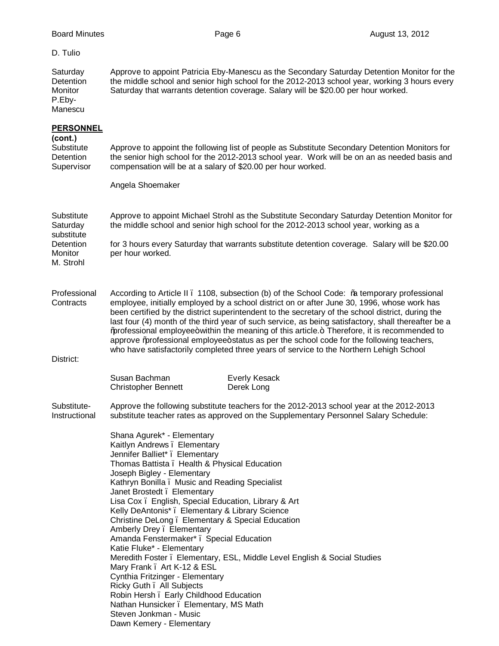#### D. Tulio

Saturday Approve to appoint Patricia Eby-Manescu as the Secondary Saturday Detention Monitor for the Detention the middle school and senior high school for the 2012-2013 school year, working 3 hours every Monitor Saturday that warrants detention coverage. Salary will be \$20.00 per hour worked. P.Eby-Manescu

## **PERSONNEL**

# **(cont.)** Substitute Approve to appoint the following list of people as Substitute Secondary Detention Monitors for Detention the senior high school for the 2012-2013 school year. Work will be on an as needed basis and Supervisor compensation will be at a salary of \$20.00 per hour worked. Angela Shoemaker Substitute Approve to appoint Michael Strohl as the Substitute Secondary Saturday Detention Monitor for Saturday the middle school and senior high school for the 2012-2013 school year, working as a substitute Detention for 3 hours every Saturday that warrants substitute detention coverage. Salary will be \$20.00 Monitor per hour worked. M. Strohl Professional According to Article II . 1108, subsection (b) of the School Code: ‰ temporary professional Contracts employee, initially employed by a school district on or after June 30, 1996, whose work has been certified by the district superintendent to the secretary of the school district, during the last four (4) month of the third year of such service, as being satisfactory, shall thereafter be a %professional employee+ within the meaning of this article. + Therefore, it is recommended to approve % professional employee+ status as per the school code for the following teachers, who have satisfactorily completed three years of service to the Northern Lehigh School District: Susan Bachman Everly Kesack Christopher Bennett Derek Long Substitute- Approve the following substitute teachers for the 2012-2013 school year at the 2012-2013 Instructional substitute teacher rates as approved on the Supplementary Personnel Salary Schedule: Shana Agurek\* - Elementary Kaitlyn Andrews – Elementary Jennifer Balliet\* – Elementary Thomas Battista – Health & Physical Education Joseph Bigley - Elementary Kathryn Bonilla – Music and Reading Specialist Janet Brostedt – Elementary Lisa Cox – English, Special Education, Library & Art Kelly DeAntonis\* – Elementary & Library Science Christine DeLong – Elementary & Special Education Amberly Drey – Elementary Amanda Fenstermaker\* – Special Education Katie Fluke\* - Elementary Meredith Foster – Elementary, ESL, Middle Level English & Social Studies Mary Frank . Art K-12 & ESL Cynthia Fritzinger - Elementary

Ricky Guth – All Subjects

Robin Hersh – Early Childhood Education Nathan Hunsicker – Elementary, MS Math

Steven Jonkman - Music Dawn Kemery - Elementary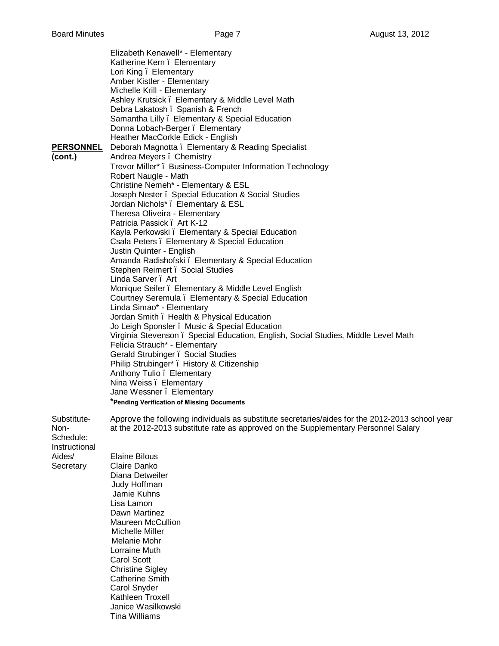Elizabeth Kenawell\* - Elementary Katherine Kern. Elementary Lori King – Elementary Amber Kistler - Elementary Michelle Krill - Elementary Ashley Krutsick – Elementary & Middle Level Math Debra Lakatosh . Spanish & French Samantha Lilly – Elementary & Special Education Donna Lobach-Berger – Elementary Heather MacCorkle Edick - English **PERSONNEL** Deborah Magnotta . Elementary & Reading Specialist **(cont.)** Andrea Meyers – Chemistry Trevor Miller\* – Business-Computer Information Technology Robert Naugle - Math Christine Nemeh\* - Elementary & ESL Joseph Nester – Special Education & Social Studies Jordan Nichols\* – Elementary & ESL Theresa Oliveira - Elementary Patricia Passick . Art K-12 Kayla Perkowski – Elementary & Special Education Csala Peters – Elementary & Special Education Justin Quinter - English Amanda Radishofski – Elementary & Special Education Stephen Reimert . Social Studies Linda Sarver – Art Monique Seiler – Elementary & Middle Level English Courtney Seremula – Elementary & Special Education Linda Simao\* - Elementary Jordan Smith – Health & Physical Education Jo Leigh Sponsler . Music & Special Education Virginia Stevenson – Special Education, English, Social Studies, Middle Level Math Felicia Strauch\* - Elementary Gerald Strubinger – Social Studies Philip Strubinger\* – History & Citizenship Anthony Tulio – Elementary Nina Weiss – Elementary Jane Wessner . Elementary **\*Pending Verification of Missing Documents** Substitute- Approve the following individuals as substitute secretaries/aides for the 2012-2013 school year Non- at the 2012-2013 substitute rate as approved on the Supplementary Personnel Salary Schedule: Instructional Aides/ Elaine Bilous Secretary Claire Danko Diana Detweiler Judy Hoffman Jamie Kuhns Lisa Lamon Dawn Martinez Maureen McCullion Michelle Miller Melanie Mohr Lorraine Muth Carol Scott Christine Sigley Catherine Smith Carol Snyder Kathleen Troxell

> Janice Wasilkowski Tina Williams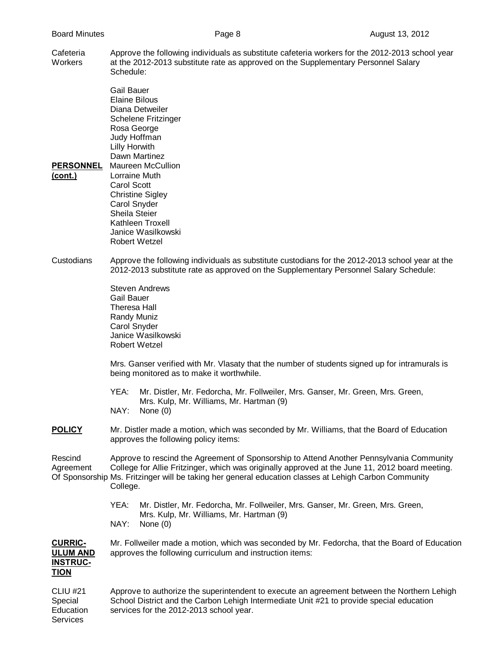Cafeteria Approve the following individuals as substitute cafeteria workers for the 2012-2013 school year Workers at the 2012-2013 substitute rate as approved on the Supplementary Personnel Salary Schedule:

Gail Bauer Elaine Bilous Diana Detweiler Schelene Fritzinger Rosa George Judy Hoffman Lilly Horwith Dawn Martinez **PERSONNEL** Maureen McCullion **(cont.)** Lorraine Muth Carol Scott Christine Sigley Carol Snyder Sheila Steier

Kathleen Troxell Janice Wasilkowski Robert Wetzel

Custodians Approve the following individuals as substitute custodians for the 2012-2013 school year at the 2012-2013 substitute rate as approved on the Supplementary Personnel Salary Schedule:

> Steven Andrews Gail Bauer Theresa Hall Randy Muniz Carol Snyder Janice Wasilkowski Robert Wetzel

Mrs. Ganser verified with Mr. Vlasaty that the number of students signed up for intramurals is being monitored as to make it worthwhile.

- YEA: Mr. Distler, Mr. Fedorcha, Mr. Follweiler, Mrs. Ganser, Mr. Green, Mrs. Green, Mrs. Kulp, Mr. Williams, Mr. Hartman (9) NAY: None (0)
- **POLICY** Mr. Distler made a motion, which was seconded by Mr. Williams, that the Board of Education approves the following policy items:

Rescind Approve to rescind the Agreement of Sponsorship to Attend Another Pennsylvania Community Agreement College for Allie Fritzinger, which was originally approved at the June 11, 2012 board meeting. Of Sponsorship Ms. Fritzinger will be taking her general education classes at Lehigh Carbon Community College.

> YEA: Mr. Distler, Mr. Fedorcha, Mr. Follweiler, Mrs. Ganser, Mr. Green, Mrs. Green, Mrs. Kulp, Mr. Williams, Mr. Hartman (9) NAY: None (0)

**CURRIC-** Mr. Follweiler made a motion, which was seconded by Mr. Fedorcha, that the Board of Education **ULUM AND** approves the following curriculum and instruction items: **INSTRUC-**

# **TION**

| CLIU #21  | Approve to authorize the superintendent to execute an agreement between the Northern Lehigh |
|-----------|---------------------------------------------------------------------------------------------|
| Special   | School District and the Carbon Lehigh Intermediate Unit #21 to provide special education    |
| Education | services for the 2012-2013 school year.                                                     |
| Services  |                                                                                             |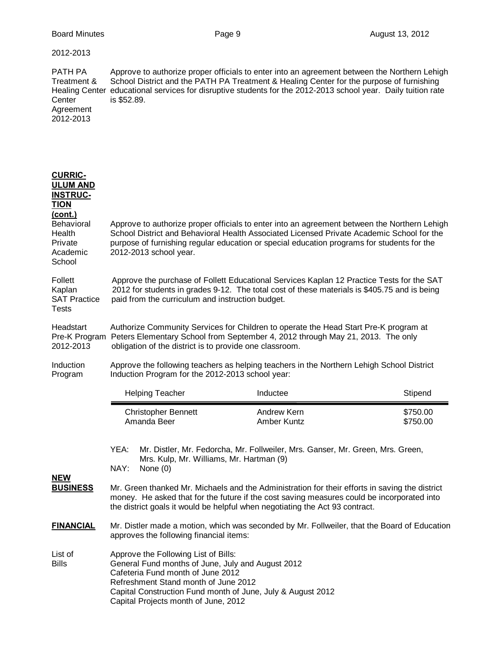| 2012-2013                                                                                                                               |                                                                                                                                                                                                                                                                                                                                                                                                                                          |                                                                                                                                                                                                                                                                                            |                      |  |
|-----------------------------------------------------------------------------------------------------------------------------------------|------------------------------------------------------------------------------------------------------------------------------------------------------------------------------------------------------------------------------------------------------------------------------------------------------------------------------------------------------------------------------------------------------------------------------------------|--------------------------------------------------------------------------------------------------------------------------------------------------------------------------------------------------------------------------------------------------------------------------------------------|----------------------|--|
| PATH PA<br>Treatment &<br><b>Healing Center</b><br>Center<br>Agreement<br>2012-2013                                                     | is \$52.89.                                                                                                                                                                                                                                                                                                                                                                                                                              | Approve to authorize proper officials to enter into an agreement between the Northern Lehigh<br>School District and the PATH PA Treatment & Healing Center for the purpose of furnishing<br>educational services for disruptive students for the 2012-2013 school year. Daily tuition rate |                      |  |
| <b>CURRIC-</b><br><b>ULUM AND</b><br><b>INSTRUC-</b><br><b>TION</b><br>(cont.)<br>Behavioral<br>Health<br>Private<br>Academic<br>School | 2012-2013 school year.                                                                                                                                                                                                                                                                                                                                                                                                                   | Approve to authorize proper officials to enter into an agreement between the Northern Lehigh<br>School District and Behavioral Health Associated Licensed Private Academic School for the<br>purpose of furnishing regular education or special education programs for students for the    |                      |  |
| Follett<br>Kaplan<br><b>SAT Practice</b><br><b>Tests</b>                                                                                | Approve the purchase of Follett Educational Services Kaplan 12 Practice Tests for the SAT<br>2012 for students in grades 9-12. The total cost of these materials is \$405.75 and is being<br>paid from the curriculum and instruction budget.                                                                                                                                                                                            |                                                                                                                                                                                                                                                                                            |                      |  |
| Headstart<br>Pre-K Program<br>2012-2013                                                                                                 | Authorize Community Services for Children to operate the Head Start Pre-K program at<br>Peters Elementary School from September 4, 2012 through May 21, 2013. The only<br>obligation of the district is to provide one classroom.                                                                                                                                                                                                        |                                                                                                                                                                                                                                                                                            |                      |  |
| Induction<br>Program                                                                                                                    | Approve the following teachers as helping teachers in the Northern Lehigh School District<br>Induction Program for the 2012-2013 school year:                                                                                                                                                                                                                                                                                            |                                                                                                                                                                                                                                                                                            |                      |  |
|                                                                                                                                         | <b>Helping Teacher</b>                                                                                                                                                                                                                                                                                                                                                                                                                   | Inductee                                                                                                                                                                                                                                                                                   | Stipend              |  |
|                                                                                                                                         | <b>Christopher Bennett</b><br>Amanda Beer                                                                                                                                                                                                                                                                                                                                                                                                | Andrew Kern<br>Amber Kuntz                                                                                                                                                                                                                                                                 | \$750.00<br>\$750.00 |  |
| <b>NEW</b><br><b>BUSINESS</b>                                                                                                           | YEA:<br>Mr. Distler, Mr. Fedorcha, Mr. Follweiler, Mrs. Ganser, Mr. Green, Mrs. Green,<br>Mrs. Kulp, Mr. Williams, Mr. Hartman (9)<br>NAY:<br>None $(0)$<br>Mr. Green thanked Mr. Michaels and the Administration for their efforts in saving the district<br>money. He asked that for the future if the cost saving measures could be incorporated into<br>the district goals it would be helpful when negotiating the Act 93 contract. |                                                                                                                                                                                                                                                                                            |                      |  |
| <b>FINANCIAL</b>                                                                                                                        | Mr. Distler made a motion, which was seconded by Mr. Follweiler, that the Board of Education<br>approves the following financial items:                                                                                                                                                                                                                                                                                                  |                                                                                                                                                                                                                                                                                            |                      |  |
| List of<br><b>Bills</b>                                                                                                                 | Approve the Following List of Bills:<br>General Fund months of June, July and August 2012<br>Cafeteria Fund month of June 2012<br>Refreshment Stand month of June 2012<br>Capital Construction Fund month of June, July & August 2012<br>Capital Projects month of June, 2012                                                                                                                                                            |                                                                                                                                                                                                                                                                                            |                      |  |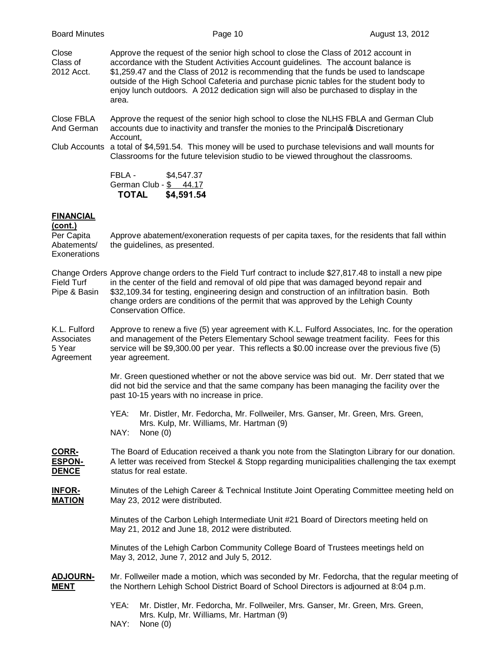Close Approve the request of the senior high school to close the Class of 2012 account in Class of accordance with the Student Activities Account guidelines. The account balance is 2012 Acct. \$1,259.47 and the Class of 2012 is recommending that the funds be used to landscape outside of the High School Cafeteria and purchase picnic tables for the student body to enjoy lunch outdoors. A 2012 dedication sign will also be purchased to display in the area.

Close FBLA Approve the request of the senior high school to close the NLHS FBLA and German Club And German accounts due to inactivity and transfer the monies to the Principal **C** Discretionary Account,

Club Accounts a total of \$4,591.54. This money will be used to purchase televisions and wall mounts for Classrooms for the future television studio to be viewed throughout the classrooms.

> FBLA - \$4,547.37 German Club - \$ 44.17 **TOTAL \$4,591.54**

## **FINANCIAL**

# **(cont.)** Per Capita Approve abatement/exoneration requests of per capita taxes, for the residents that fall within Abatements/ the guidelines, as presented. **Exonerations** Change Orders Approve change orders to the Field Turf contract to include \$27,817.48 to install a new pipe Field Turf in the center of the field and removal of old pipe that was damaged beyond repair and Pipe & Basin \$32,109.34 for testing, engineering design and construction of an infiltration basin. Both change orders are conditions of the permit that was approved by the Lehigh County Conservation Office. K.L. Fulford Approve to renew a five (5) year agreement with K.L. Fulford Associates, Inc. for the operation Associates and management of the Peters Elementary School sewage treatment facility. Fees for this 5 Year service will be \$9,300.00 per year. This reflects a \$0.00 increase over the previous five (5) Agreement year agreement. Mr. Green questioned whether or not the above service was bid out. Mr. Derr stated that we did not bid the service and that the same company has been managing the facility over the past 10-15 years with no increase in price. YEA: Mr. Distler, Mr. Fedorcha, Mr. Follweiler, Mrs. Ganser, Mr. Green, Mrs. Green, Mrs. Kulp, Mr. Williams, Mr. Hartman (9) NAY: None (0) **CORR-** The Board of Education received a thank you note from the Slatington Library for our donation. **ESPON-** A letter was received from Steckel & Stopp regarding municipalities challenging the tax exempt **DENCE** status for real estate. **INFOR-** Minutes of the Lehigh Career & Technical Institute Joint Operating Committee meeting held on **MATION** May 23, 2012 were distributed. Minutes of the Carbon Lehigh Intermediate Unit #21 Board of Directors meeting held on May 21, 2012 and June 18, 2012 were distributed. Minutes of the Lehigh Carbon Community College Board of Trustees meetings held on May 3, 2012, June 7, 2012 and July 5, 2012. **ADJOURN-** Mr. Follweiler made a motion, which was seconded by Mr. Fedorcha, that the regular meeting of **MENT** the Northern Lehigh School District Board of School Directors is adjourned at 8:04 p.m.

- YEA: Mr. Distler, Mr. Fedorcha, Mr. Follweiler, Mrs. Ganser, Mr. Green, Mrs. Green, Mrs. Kulp, Mr. Williams, Mr. Hartman (9)
- NAY: None (0)